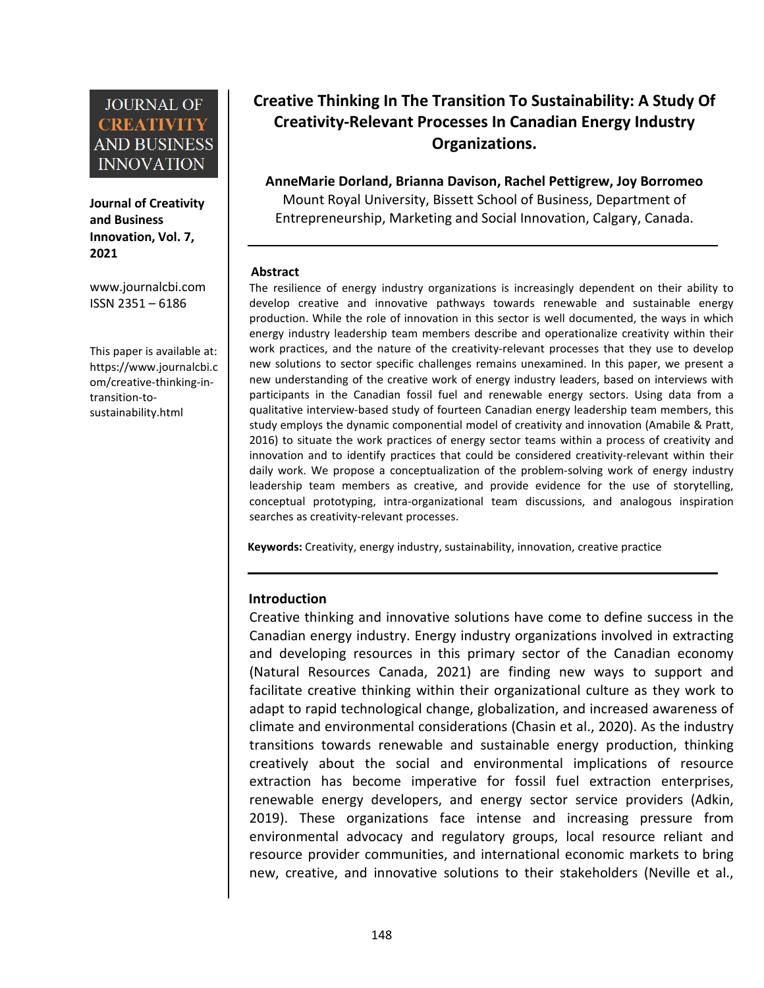**Journal of Creativity and Business Innovation, Vol. 7, 2021**

ISSN 2351 – 6186

This paper is available at: [https://www.journalcbi.c](http://www.journalcbi.com/ideation-using-analogies.html) om/creative-thinking-in transition-to sustainability.html

# **Creative Thinking In The Transition To Sustainability: A Study Of Creativity-Relevant Processes In Canadian Energy Industry Organizations.**

**AnneMarie Dorland, Brianna Davison, Rachel Pettigrew, Joy Borromeo**

Mount Royal University, Bissett School of Business, Department of Entrepreneurship, Marketing and Social Innovation, Calgary, Canada.

#### **Abstract**

[www.journalcbi.com](http://www.journalcbi.com) The resilience of energy industry organizations is increasingly dependent on their ability to develop creative and innovative pathways towards renewable and sustainable energy production. While the role of innovation in this sector is well documented, the ways in which energy industry leadership team members describe and operationalize creativity within their work practices, and the nature of the creativity-relevant processes that they use to develop new solutions to sector specific challenges remains unexamined. In this paper, we present a new understanding of the creative work of energy industry leaders, based on interviews with participants in the Canadian fossil fuel and renewable energy sectors. Using data from a qualitative interview-based study of fourteen Canadian energy leadership team members, this study employs the dynamic componential model of creativity and innovation (Amabile & Pratt, 2016) to situate the work practices of energy sector teams within a process of creativity and innovation and to identify practices that could be considered creativity-relevant within their daily work. We propose a conceptualization of the problem-solving work of energy industry leadership team members as creative, and provide evidence for the use of storytelling, conceptual prototyping, intra-organizational team discussions, and analogous inspiration searches as creativity-relevant processes.

Keywords: Creativity, energy industry, sustainability, innovation, creative practice

#### **Introduction**

Creative thinking and innovative solutions have come to define success in the Canadian energy industry. Energy industry organizations involved in extracting and developing resources in this primary sector of the Canadian economy (Natural Resources Canada, 2021) are finding new ways to support and facilitate creative thinking within their organizational culture as they work to adapt to rapid technological change, globalization, and increased awareness of climate and environmental considerations (Chasin et al., 2020). As the industry transitions towards renewable and sustainable energy production, thinking creatively about the social and environmental implications of resource extraction has become imperative for fossil fuel extraction enterprises, renewable energy developers, and energy sector service providers (Adkin, 2019). These organizations face intense and increasing pressure from environmental advocacy and regulatory groups, local resource reliant and resource provider communities, and international economic markets to bring new, creative, and innovative solutions to their stakeholders (Neville et al.,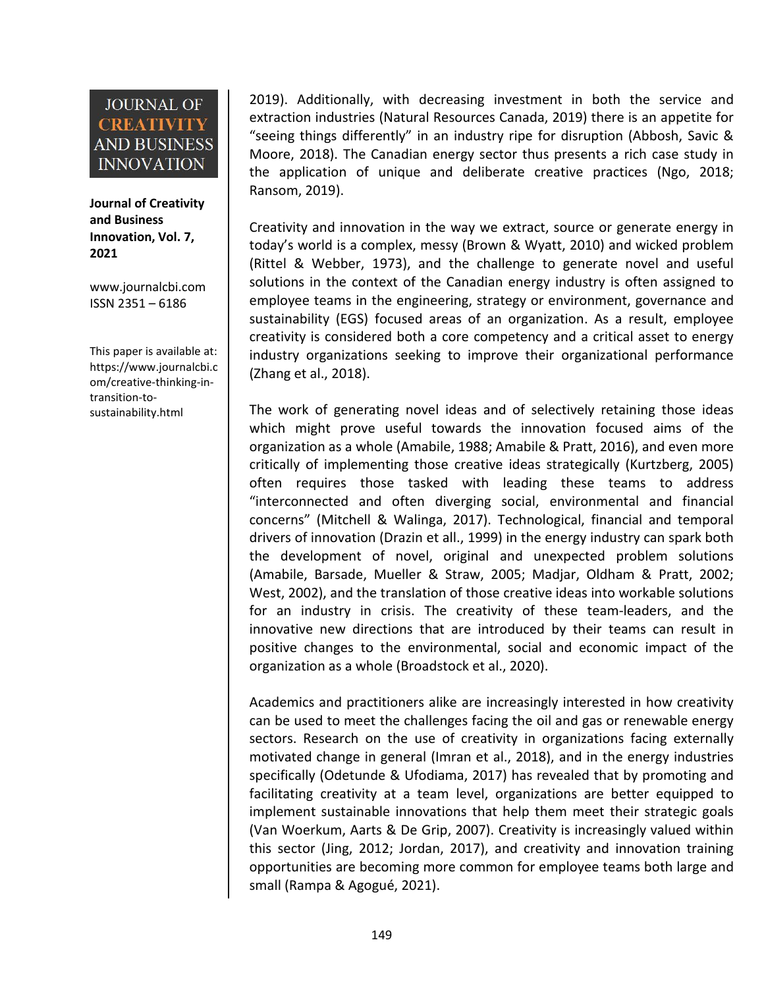**Journal of Creativity and Business Innovation, Vol. 7, 2021**

[www.journalcbi.com](http://www.journalcbi.com) ISSN 2351 – 6186

This paper is available at: [https://www.journalcbi.c](http://www.journalcbi.com/ideation-using-analogies.html) om/creative-thinking-in transition-to sustainability.html

2019). Additionally, with decreasing investment in both the service and extraction industries (Natural Resources Canada, 2019) there is an appetite for "seeing things differently" in an industry ripe for disruption (Abbosh, Savic & Moore, 2018). The Canadian energy sector thus presents a rich case study in the application of unique and deliberate creative practices (Ngo, 2018; Ransom, 2019).

Creativity and innovation in the way we extract, source or generate energy in today's world is a complex, messy (Brown & Wyatt, 2010) and wicked problem (Rittel & Webber, 1973), and the challenge to generate novel and useful solutions in the context of the Canadian energy industry is often assigned to employee teams in the engineering, strategy or environment, governance and sustainability (EGS) focused areas of an organization. As a result, employee creativity is considered both a core competency and a critical asset to energy industry organizations seeking to improve their organizational performance (Zhang et al., 2018).

The work of generating novel ideas and of selectively retaining those ideas which might prove useful towards the innovation focused aims of the organization as a whole (Amabile, 1988; Amabile & Pratt, 2016), and even more critically of implementing those creative ideas strategically (Kurtzberg, 2005) often requires those tasked with leading these teams to address "interconnected and often diverging social, environmental and financial concerns" (Mitchell & Walinga, 2017). Technological, financial and temporal drivers of innovation (Drazin et all., 1999) in the energy industry can spark both the development of novel, original and unexpected problem solutions (Amabile, Barsade, Mueller & Straw, 2005; Madjar, Oldham & Pratt, 2002; West, 2002), and the translation of those creative ideas into workable solutions for an industry in crisis. The creativity of these team-leaders, and the innovative new directions that are introduced by their teams can result in positive changes to the environmental, social and economic impact of the organization as a whole (Broadstock et al., 2020).

Academics and practitioners alike are increasingly interested in how creativity can be used to meet the challenges facing the oil and gas or renewable energy sectors. Research on the use of creativity in organizations facing externally motivated change in general (Imran et al., 2018), and in the energy industries specifically (Odetunde & Ufodiama, 2017) has revealed that by promoting and facilitating creativity at a team level, organizations are better equipped to implement sustainable innovations that help them meet their strategic goals (Van Woerkum, Aarts & De Grip, 2007). Creativity is increasingly valued within this sector (Jing, 2012; Jordan, 2017), and creativity and innovation training opportunities are becoming more common for employee teams both large and small (Rampa & Agogué, 2021).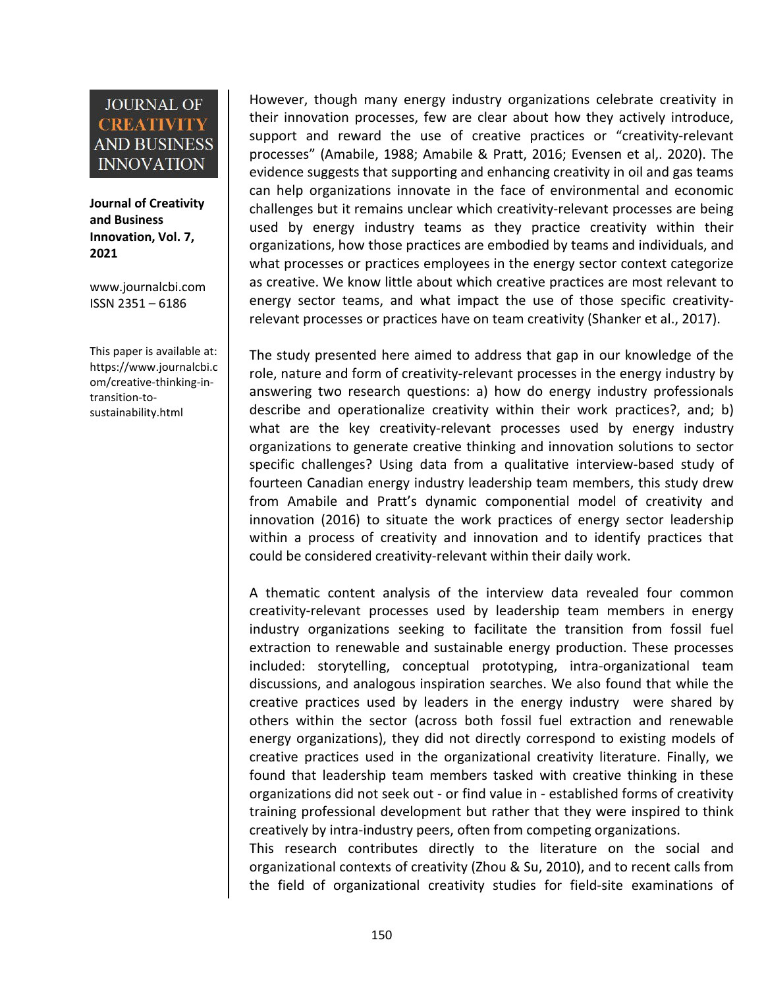**Journal of Creativity and Business Innovation, Vol. 7, 2021**

[www.journalcbi.com](http://www.journalcbi.com) ISSN 2351 – 6186

This paper is available at: [https://www.journalcbi.c](http://www.journalcbi.com/ideation-using-analogies.html) om/creative-thinking-in transition-to sustainability.html

However, though many energy industry organizations celebrate creativity in their innovation processes, few are clear about how they actively introduce, support and reward the use of creative practices or "creativity-relevant processes" (Amabile, 1988; Amabile & Pratt, 2016; Evensen et al,.2020). The evidence suggests that supporting and enhancing creativity in oil and gas teams can help organizations innovate in the face of environmental and economic challenges but it remains unclear which creativity-relevant processes are being used by energy industry teams as they practice creativity within their organizations, how those practices are embodied by teams and individuals, and what processes or practices employees in the energy sector context categorize as creative. We know little about which creative practices are most relevant to energy sector teams, and what impact the use of those specific creativity relevant processes or practices have on team creativity (Shanker et al., 2017).

The study presented here aimed to address that gap in our knowledge of the role, nature and form of creativity-relevant processes in the energy industry by answering two research questions: a) how do energy industry professionals describe and operationalize creativity within their work practices?, and; b) what are the key creativity-relevant processes used by energy industry organizations to generate creative thinking and innovation solutions to sector specific challenges? Using data from a qualitative interview-based study of fourteen Canadian energy industry leadership team members, this study drew from Amabile and Pratt's dynamic componential model of creativity and innovation (2016) to situate the work practices of energy sector leadership within a process of creativity and innovation and to identify practices that could be considered creativity-relevant within their daily work.

A thematic content analysis of the interview data revealed four common creativity-relevant processes used by leadership team members in energy industry organizations seeking to facilitate the transition from fossil fuel extraction to renewable and sustainable energy production. These processes included: storytelling, conceptual prototyping, intra-organizational team discussions, and analogous inspiration searches. We also found that while the creative practices used by leaders in the energy industry were shared by others within the sector (across both fossil fuel extraction and renewable energy organizations), they did not directly correspond to existing models of creative practices used in the organizational creativity literature. Finally, we found that leadership team members tasked with creative thinking in these organizations did not seek out - or find value in - established forms of creativity training professional development but rather that they were inspired to think creatively by intra-industry peers, often from competing organizations.

This research contributes directly to the literature on the social and organizational contexts of creativity (Zhou & Su, 2010), and to recent calls from the field of organizational creativity studies for field-site examinations of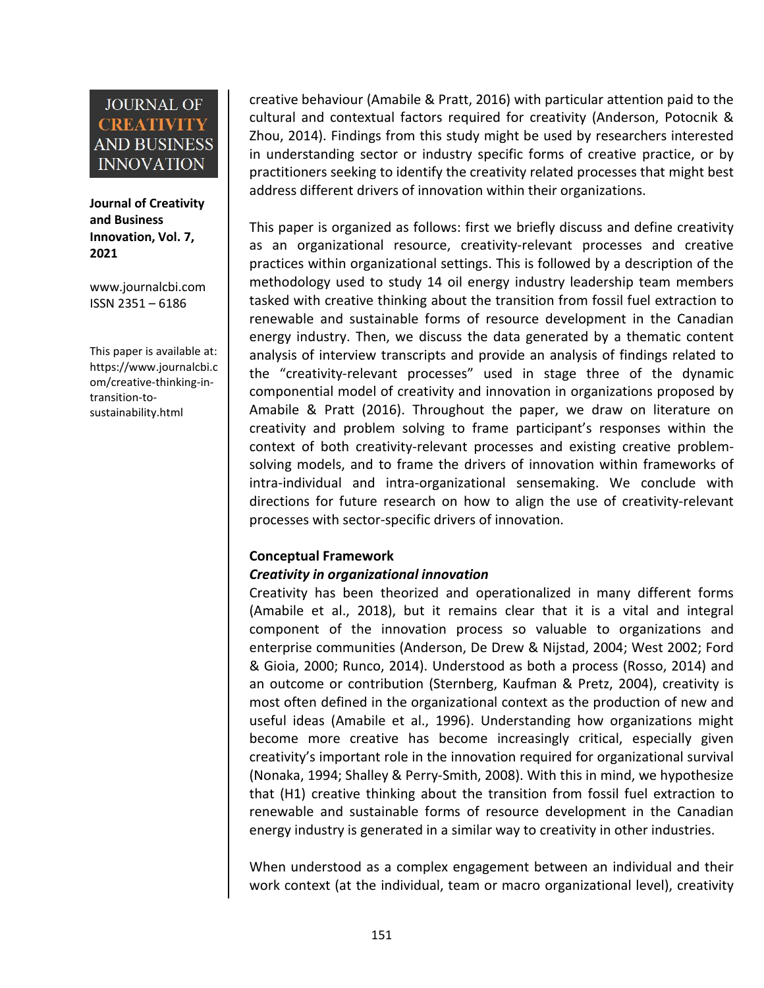**Journal of Creativity and Business Innovation, Vol. 7, 2021**

[www.journalcbi.com](http://www.journalcbi.com) ISSN 2351 – 6186

This paper is available at: [https://www.journalcbi.c](http://www.journalcbi.com/ideation-using-analogies.html) om/creative-thinking-in transition-to sustainability.html

creative behaviour (Amabile & Pratt, 2016) with particular attention paid to the cultural and contextual factors required for creativity (Anderson, Potocnik & Zhou, 2014). Findings from this study might be used by researchers interested in understanding sector or industry specific forms of creative practice, or by practitioners seeking to identify the creativity related processes that might best address different drivers of innovation within their organizations.

This paper is organized as follows: first we briefly discuss and define creativity as an organizational resource, creativity-relevant processes and creative practices within organizational settings. This is followed by a description of the methodology used to study 14 oil energy industry leadership team members tasked with creative thinking about the transition from fossil fuel extraction to renewable and sustainable forms of resource development in the Canadian energy industry. Then, we discuss the data generated by a thematic content analysis of interview transcripts and provide an analysis of findings related to the "creativity-relevant processes" used in stage three of the dynamic componential model of creativity and innovation in organizations proposed by Amabile & Pratt (2016). Throughout the paper, we draw on literature on creativity and problem solving to frame participant's responses within the context of both creativity-relevant processes and existing creative problem solving models, and to frame the drivers of innovation within frameworks of intra-individual and intra-organizational sensemaking. We conclude with directions for future research on how to align the use of creativity-relevant processes with sector-specific drivers of innovation.

### **Conceptual Framework**

#### *Creativity in organizational innovation*

Creativity has been theorized and operationalized in many different forms (Amabile et al., 2018), but it remains clear that it is a vital and integral component of the innovation process so valuable to organizations and enterprise communities (Anderson, De Drew & Nijstad, 2004; West 2002; Ford & Gioia, 2000; Runco, 2014). Understood as both a process (Rosso, 2014) and an outcome or contribution (Sternberg, Kaufman & Pretz, 2004), creativity is most often defined in the organizational context as the production of new and useful ideas (Amabile et al., 1996). Understanding how organizations might become more creative has become increasingly critical, especially given creativity's important role in the innovation required for organizational survival (Nonaka, 1994; Shalley & Perry-Smith, 2008). With this in mind, we hypothesize that (H1) creative thinking about the transition from fossil fuel extraction to renewable and sustainable forms of resource development in the Canadian energy industry is generated in a similar way to creativity in other industries.

When understood as a complex engagement between an individual and their work context (at the individual, team or macro organizational level), creativity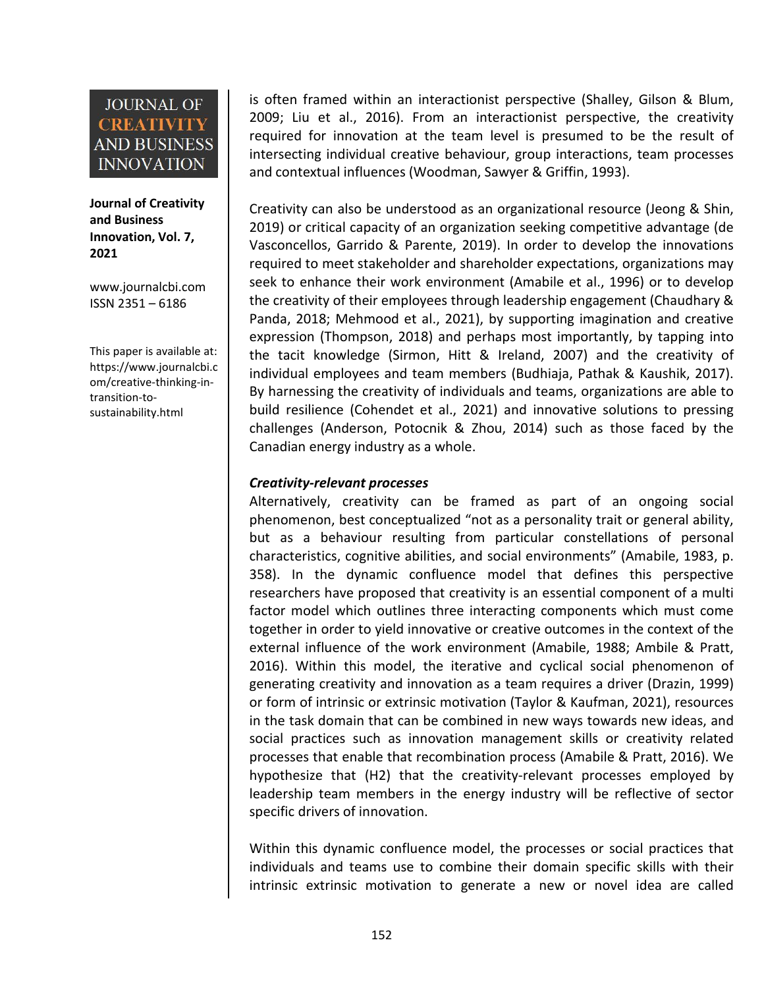**Journal of Creativity and Business Innovation, Vol. 7, 2021**

[www.journalcbi.com](http://www.journalcbi.com) ISSN 2351 – 6186

This paper is available at: [https://www.journalcbi.c](http://www.journalcbi.com/ideation-using-analogies.html) om/creative-thinking-in transition-to sustainability.html

is often framed within an interactionist perspective (Shalley, Gilson & Blum, 2009; Liu et al., 2016). From an interactionist perspective, the creativity required for innovation at the team level is presumed to be the result of intersecting individual creative behaviour, group interactions, team processes and contextual influences (Woodman, Sawyer & Griffin, 1993).

Creativity can also be understood as an organizational resource (Jeong & Shin, 2019) or critical capacity of an organization seeking competitive advantage (de Vasconcellos, Garrido & Parente, 2019). In order to develop the innovations required to meet stakeholder and shareholder expectations, organizations may seek to enhance their work environment (Amabile et al., 1996) or to develop the creativity of their employees through leadership engagement (Chaudhary & Panda, 2018; Mehmood et al., 2021), by supporting imagination and creative expression (Thompson,2018) and perhaps most importantly, by tapping into the tacit knowledge (Sirmon, Hitt & Ireland, 2007) and the creativity of individual employees and team members (Budhiaja, Pathak & Kaushik, 2017). By harnessing the creativity of individuals and teams, organizations are able to build resilience (Cohendet et al., 2021) and innovative solutions to pressing challenges (Anderson, Potocnik & Zhou, 2014) such as those faced by the Canadian energy industry as a whole.

#### *Creativity-relevant processes*

Alternatively, creativity can be framed as part of an ongoing social phenomenon, best conceptualized "not as a personality trait or general ability, but as a behaviour resulting from particular constellations of personal characteristics, cognitive abilities, and social environments" (Amabile, 1983, p. 358). In the dynamic confluence model that defines this perspective researchers have proposed that creativity is an essential component of a multi factor model which outlines three interacting components which must come together in order to yield innovative or creative outcomes in the context of the external influence of the work environment (Amabile, 1988; Ambile & Pratt, 2016). Within this model, the iterative and cyclical social phenomenon of generating creativity and innovation as a team requires a driver (Drazin, 1999) or form of intrinsic or extrinsic motivation (Taylor & Kaufman, 2021), resources in the task domain that can be combined in new ways towards new ideas, and social practices such as innovation management skills or creativity related processes that enable that recombination process (Amabile & Pratt, 2016). We hypothesize that (H2) that the creativity-relevant processes employed by leadership team members in the energy industry will be reflective of sector specific drivers of innovation.

Within this dynamic confluence model, the processes or social practices that individuals and teams use to combine their domain specific skills with their intrinsic extrinsic motivation to generate a new or novel idea are called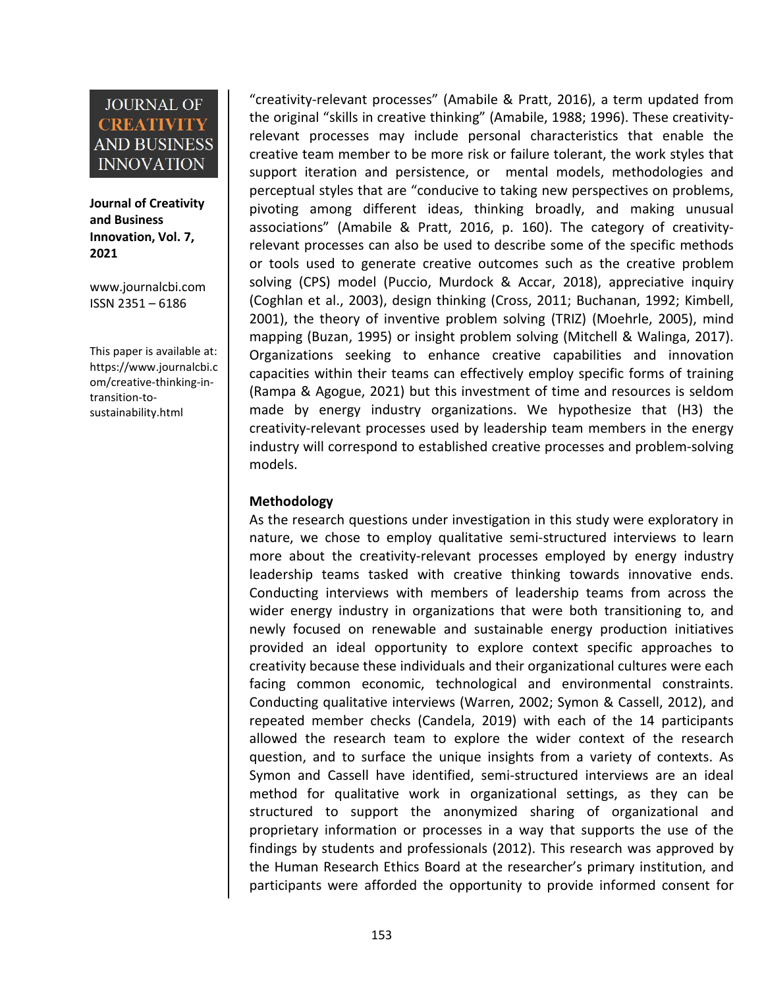**Journal of Creativity and Business Innovation, Vol. 7, 2021**

[www.journalcbi.com](http://www.journalcbi.com) ISSN 2351 – 6186

This paper is available at: [https://www.journalcbi.c](http://www.journalcbi.com/ideation-using-analogies.html) om/creative-thinking-in transition-to sustainability.html

"creativity-relevant processes" (Amabile & Pratt, 2016), a term updated from the original "skills in creative thinking" (Amabile, 1988; 1996). These creativity relevant processes may include personal characteristics that enable the creative team member to be more risk or failure tolerant, the work styles that support iteration and persistence, or mental models, methodologies and perceptual styles that are "conducive to taking new perspectives on problems, pivoting among different ideas, thinking broadly, and making unusual associations" (Amabile & Pratt, 2016, p. 160). The category of creativity relevant processes can also be used to describe some of the specific methods or tools used to generate creative outcomes such as the creative problem solving (CPS) model (Puccio, Murdock & Accar, 2018), appreciative inquiry (Coghlan et al., 2003), design thinking (Cross, 2011; Buchanan, 1992; Kimbell, 2001), the theory of inventive problem solving (TRIZ) (Moehrle, 2005), mind mapping (Buzan, 1995) or insight problem solving (Mitchell & Walinga, 2017). Organizations seeking to enhance creative capabilities and innovation capacities within their teams can effectively employ specific forms of training (Rampa & Agogue, 2021) but this investment of time and resources is seldom made by energy industry organizations. We hypothesize that (H3) the creativity-relevant processes used by leadership team members inthe energy industry will correspond to established creative processes and problem-solving models.

#### **Methodology**

As the research questions under investigation in this study were exploratory in nature, we chose to employ qualitative semi-structured interviews to learn more about the creativity-relevant processes employed by energy industry leadership teams tasked with creative thinking towards innovative ends. Conducting interviews with members of leadership teams from across the wider energy industry in organizations that were both transitioning to, and newly focused on renewable and sustainable energy production initiatives provided an ideal opportunity to explore context specific approaches to creativity because these individuals and their organizational cultures were each facing common economic, technological and environmental constraints. Conducting qualitative interviews (Warren, 2002; Symon & Cassell, 2012), and repeated member checks (Candela, 2019) with each of the 14 participants allowed the research team to explore the wider context of the research question, and to surface the unique insights from a variety of contexts. As Symon and Cassell have identified, semi-structured interviews are an ideal method for qualitative work in organizational settings, as they can be structured to support the anonymized sharing of organizational and proprietary information or processes in a way that supports the use of the findings by students and professionals (2012). This research was approved by the Human Research Ethics Board at the researcher's primary institution, and participants were afforded the opportunity to provide informed consent for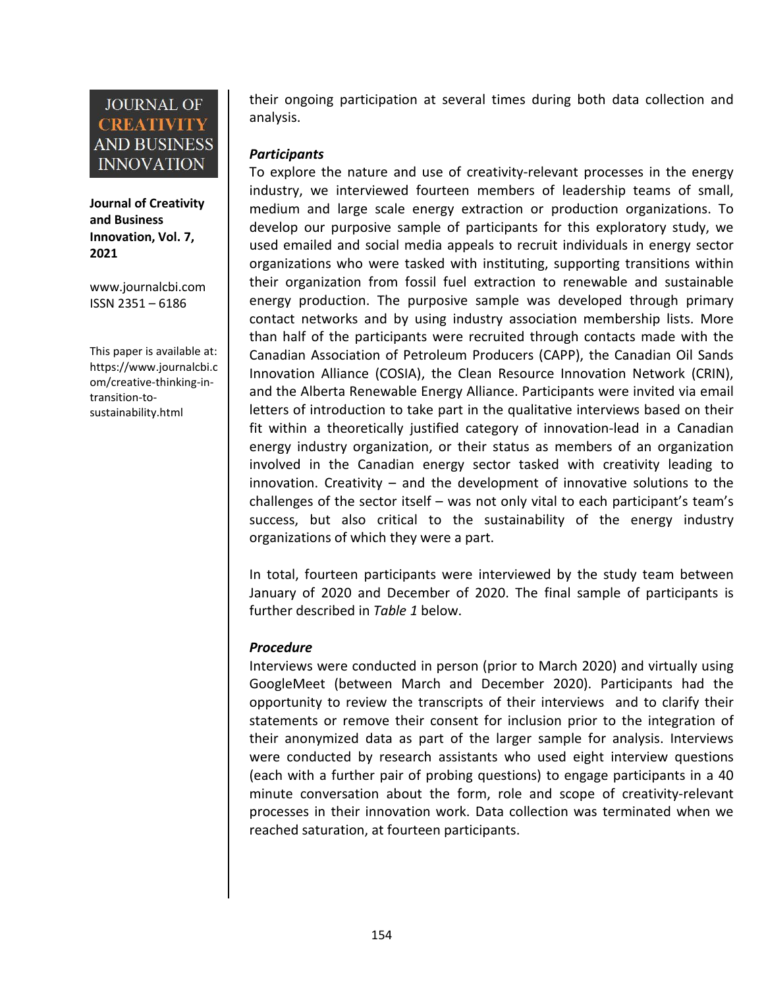**Journal of Creativity and Business Innovation, Vol. 7, 2021**

[www.journalcbi.com](http://www.journalcbi.com) ISSN 2351 – 6186

This paper is available at: [https://www.journalcbi.c](http://www.journalcbi.com/ideation-using-analogies.html) om/creative-thinking-in transition-to sustainability.html

their ongoing participation at several times during both data collection and analysis.

#### *Participants*

To explore the nature and use of creativity-relevant processes in the energy industry, we interviewed fourteen members of leadership teams of small, medium and large scale energy extraction or production organizations. To develop our purposive sample of participants for this exploratory study, we used emailed and social media appeals to recruit individuals in energy sector organizations who were tasked with instituting, supporting transitions within their organization from fossil fuel extraction to renewable and sustainable energy production. The purposive sample was developed through primary contact networks and by using industry association membership lists. More than half of the participants were recruited through contacts made with the Canadian Association of Petroleum Producers (CAPP), the Canadian Oil Sands Innovation Alliance (COSIA), the Clean Resource Innovation Network (CRIN), and the Alberta Renewable Energy Alliance. Participants were invited via email letters of introduction to take part in the qualitative interviews based on their fit within a theoretically justified category of innovation-lead in a Canadian energy industry organization, or their status as members of an organization involved in the Canadian energy sector tasked with creativity leading to innovation. Creativity – and the development of innovative solutions to the challenges of the sector itself – was not only vital to each participant's team's success, but also critical to the sustainability of the energy industry organizations of which they were a part.

In total, fourteen participants were interviewed by the study team between January of 2020 and December of 2020. The final sample of participants is further described in *Table 1* below.

### *Procedure*

Interviews were conducted in person (prior to March 2020) and virtually using GoogleMeet (between March and December 2020). Participants had the opportunity to review the transcripts of their interviews and to clarify their statements or remove their consent for inclusion prior to the integration of their anonymized data as part of the larger sample for analysis. Interviews were conducted by research assistants who used eight interview questions (each with a further pair of probing questions) to engage participants in a 40 minute conversation about the form, role and scope of creativity-relevant processes in their innovation work. Data collection was terminated when we reached saturation, at fourteen participants.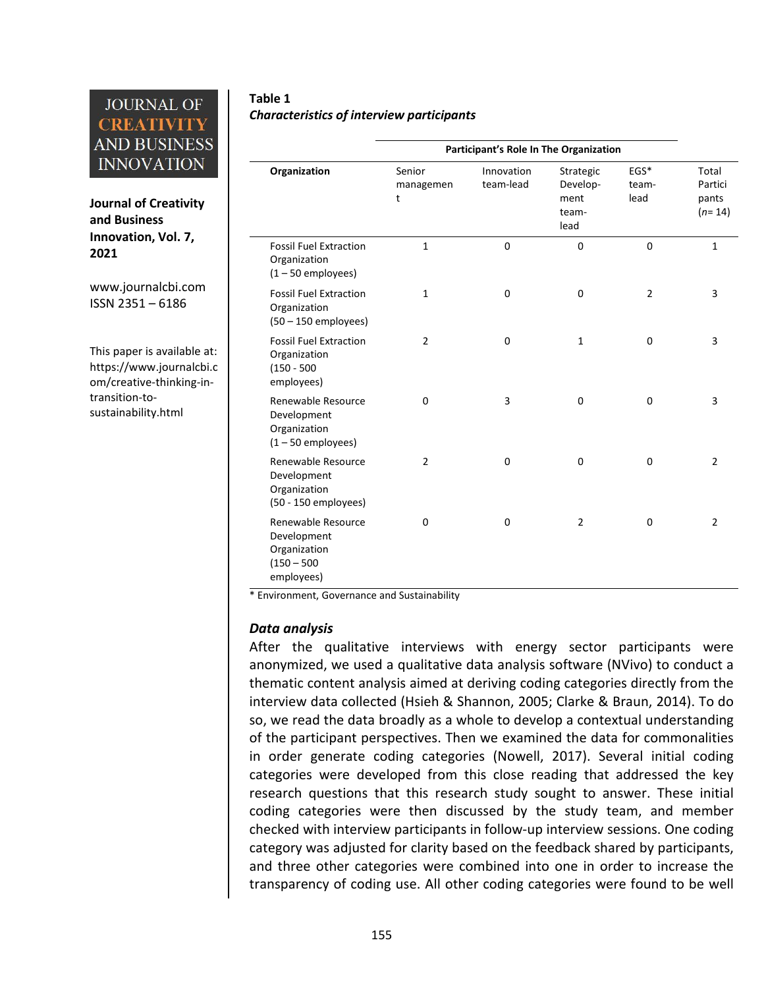**Journal of Creativity and Business Innovation, Vol. 7, 2021**

[www.journalcbi.com](http://www.journalcbi.com) ISSN 2351 – 6186

This paper is available at: [https://www.journalcbi.c](http://www.journalcbi.com/ideation-using-analogies.html) om/creative-thinking-in transition-to sustainability.html

#### **Table 1** *Characteristics of interview participants*

|  |                                                                                  | Participant's Role In The Organization |                         |                                                |                          |                                       |
|--|----------------------------------------------------------------------------------|----------------------------------------|-------------------------|------------------------------------------------|--------------------------|---------------------------------------|
|  | Organization                                                                     | Senior<br>managemen<br>t               | Innovation<br>team-lead | Strategic<br>Develop-<br>ment<br>team-<br>lead | $EGS^*$<br>team-<br>lead | Total<br>Partici<br>pants<br>$(n=14)$ |
|  | <b>Fossil Fuel Extraction</b><br>Organization<br>$(1 - 50$ employees)            | $\mathbf{1}$                           | 0                       | $\mathbf 0$                                    | $\mathbf 0$              | $\mathbf{1}$                          |
|  | <b>Fossil Fuel Extraction</b><br>Organization<br>$(50 - 150$ employees)          | $\mathbf 1$                            | 0                       | $\mathbf 0$                                    | $\overline{2}$           | 3                                     |
|  | <b>Fossil Fuel Extraction</b><br>Organization<br>$(150 - 500)$<br>employees)     | $\overline{2}$                         | 0                       | $\mathbf{1}$                                   | $\mathsf 0$              | 3                                     |
|  | Renewable Resource<br>Development<br>Organization<br>$(1 - 50$ employees)        | 0                                      | 3                       | $\pmb{0}$                                      | 0                        | 3                                     |
|  | Renewable Resource<br>Development<br>Organization<br>(50 - 150 employees)        | $\overline{2}$                         | 0                       | $\pmb{0}$                                      | 0                        | $\overline{2}$                        |
|  | Renewable Resource<br>Development<br>Organization<br>$(150 - 500)$<br>employees) | 0                                      | 0                       | $\overline{2}$                                 | $\pmb{0}$                | $\overline{2}$                        |

\* Environment, Governance and Sustainability

#### *Data analysis*

After the qualitative interviews with energy sector participants were anonymized, we used a qualitative data analysis software (NVivo) to conduct a thematic content analysis aimed at deriving coding categories directly from the interview data collected (Hsieh & Shannon, 2005; Clarke & Braun, 2014). To do so, we read the data broadly as a whole to develop a contextual understanding of the participant perspectives. Then we examined the data for commonalities in order generate coding categories (Nowell, 2017). Several initial coding categories were developed from this close reading that addressed the key research questions that this research study sought to answer. These initial coding categories were then discussed by the study team, and member checked with interview participants in follow-up interview sessions. One coding category was adjusted for clarity based on the feedback shared by participants, and three other categories were combined into one in order to increase the transparency of coding use. All other coding categories were found to be well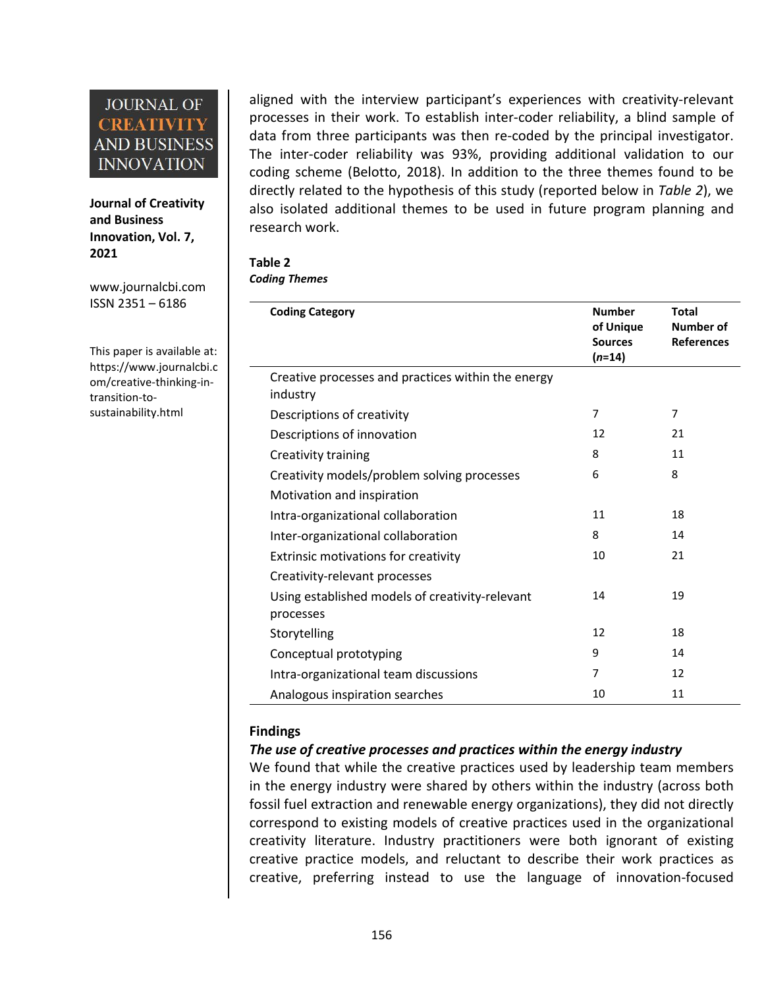**Journal of Creativity and Business Innovation, Vol. 7, 2021**

[www.journalcbi.com](http://www.journalcbi.com) ISSN 2351 – 6186

This paper is available at: [https://www.journalcbi.c](http://www.journalcbi.com/ideation-using-analogies.html) om/creative-thinking-in transition-to sustainability.html

aligned with the interview participant's experiences with creativity-relevant processes in their work. To establish inter-coder reliability, a blind sample of data from three participants was then re-coded by the principal investigator. The inter-coder reliability was 93%, providing additional validation to our coding scheme (Belotto, 2018). In addition to the three themes found to be directly related to the hypothesis of this study (reported below in *Table 2*), we also isolated additional themes to be used in future program planning and research work.

#### **Table 2**

*Coding Themes*

| <b>Coding Category</b>                             | <b>Number</b><br>of Unique | <b>Total</b><br><b>Number of</b> |
|----------------------------------------------------|----------------------------|----------------------------------|
|                                                    | <b>Sources</b>             | <b>References</b>                |
|                                                    | $(n=14)$                   |                                  |
| Creative processes and practices within the energy |                            |                                  |
| industry                                           |                            |                                  |
| Descriptions of creativity                         | 7                          | $\overline{7}$                   |
| Descriptions of innovation                         | 12                         | 21                               |
| Creativity training                                | 8                          | 11                               |
| Creativity models/problem solving processes        | 6                          | 8                                |
| Motivation and inspiration                         |                            |                                  |
| Intra-organizational collaboration                 | 11                         | 18                               |
| Inter-organizational collaboration                 | 8                          | 14                               |
| Extrinsic motivations for creativity               | 10                         | 21                               |
| Creativity-relevant processes                      |                            |                                  |
| Using established models of creativity-relevant    | 14                         | 19                               |
| processes                                          |                            |                                  |
| Storytelling                                       | 12                         | 18                               |
| Conceptual prototyping                             | 9                          | 14                               |
| Intra-organizational team discussions              | 7                          | 12                               |
| Analogous inspiration searches                     | 10                         | 11                               |
|                                                    |                            |                                  |

#### **Findings**

### *The use of creative processes and practices within the energy industry*

We found that while the creative practices used by leadership team members in the energy industry were shared by others within the industry (across both fossil fuel extraction and renewable energy organizations), they did not directly correspond to existing models of creative practices used in the organizational creativity literature. Industry practitioners were both ignorant of existing creative practice models, and reluctant to describe their work practices as creative, preferring instead to use the language of innovation-focused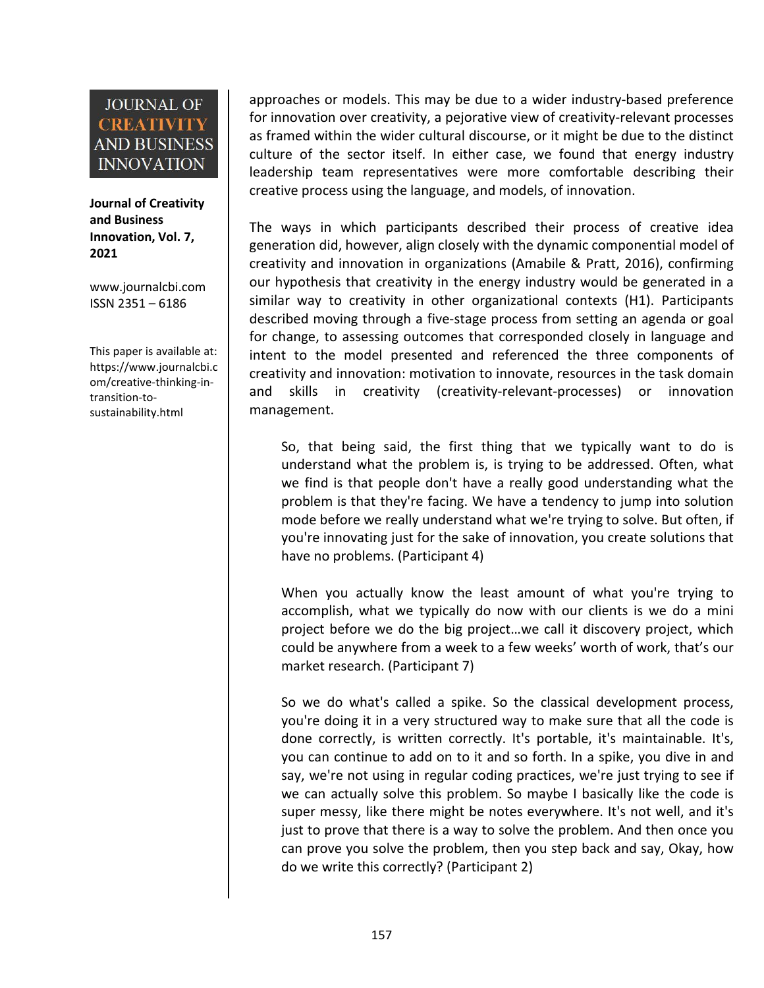**Journal of Creativity and Business Innovation, Vol. 7, 2021**

[www.journalcbi.com](http://www.journalcbi.com) ISSN 2351 – 6186

This paper is available at: [https://www.journalcbi.c](http://www.journalcbi.com/ideation-using-analogies.html) om/creative-thinking-in transition-to sustainability.html

approaches or models. This may be due to a widerindustry-based preference for innovation over creativity, a pejorative view of creativity-relevant processes as framed within the wider cultural discourse, or it might be due to the distinct culture of the sector itself. In either case, we found that energy industry leadership team representatives were more comfortable describing their creative process using the language, and models, of innovation.

The ways in which participants described their process of creative idea generation did, however, align closely with the dynamic componential model of creativity and innovation in organizations (Amabile & Pratt, 2016), confirming our hypothesis that creativity in the energy industry would be generated in a similar way to creativity in other organizational contexts (H1). Participants described moving through a five-stage process from setting an agenda or goal for change, to assessing outcomes that corresponded closely in language and intent to the model presented and referenced the three components of creativity and innovation: motivation to innovate, resources in the task domain and skills in creativity (creativity-relevant-processes) or innovation management.

So, that being said, the first thing that we typically want to do is understand what the problem is, is trying to be addressed. Often, what we find is that people don't have a really good understanding what the problem is that they're facing. We have a tendency to jump into solution mode before we really understand what we're trying to solve. But often, if you're innovating just for the sake of innovation, you create solutions that have no problems. (Participant 4)

When you actually know the least amount of what you're trying to accomplish, what we typically do now with our clients is we do a mini project before we do the big project…we call it discovery project, which could be anywhere from a week to a few weeks' worth of work, that's our market research. (Participant 7)

So we do what's called a spike. So the classical development process, you're doing it in a very structured way to make sure that all the code is done correctly, is written correctly. It's portable, it's maintainable. It's, you can continue to add on to it and so forth. In a spike, you dive in and say, we're not using in regular coding practices, we're just trying to see if we can actually solve this problem. So maybe I basically like the code is super messy, like there might be notes everywhere. It's not well, and it's just to prove that there is a way to solve the problem. And then once you can prove you solve the problem, then you step back and say, Okay, how do we write this correctly? (Participant 2)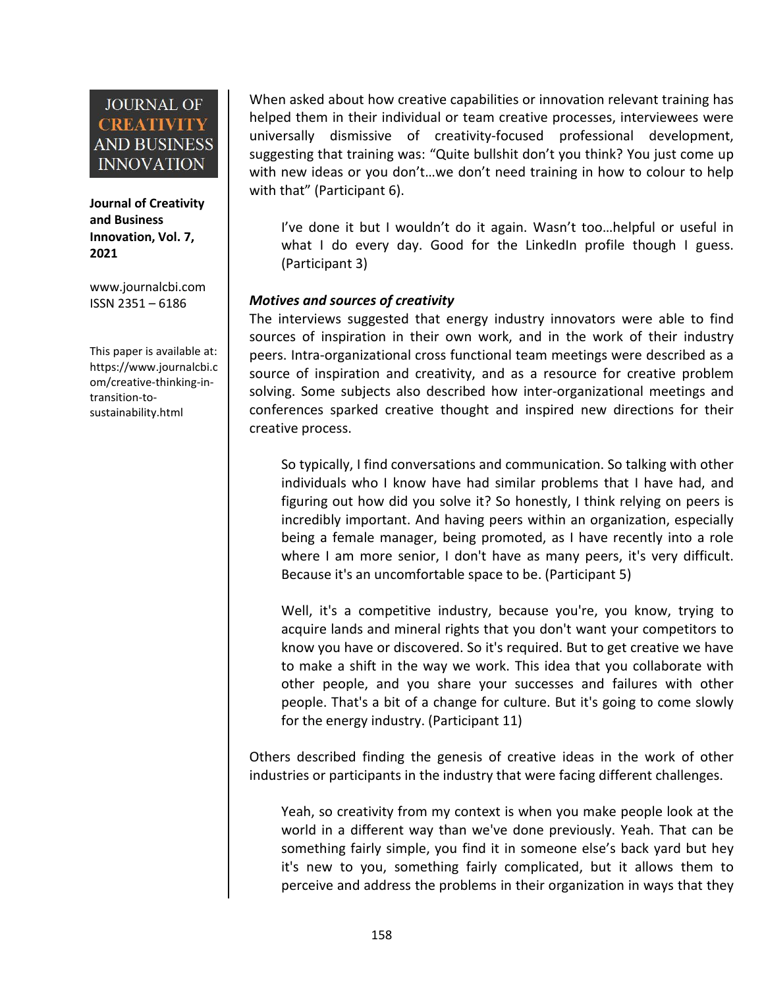**Journal of Creativity and Business Innovation, Vol. 7, 2021**

[www.journalcbi.com](http://www.journalcbi.com) ISSN 2351 – 6186

This paper is available at: [https://www.journalcbi.c](http://www.journalcbi.com/ideation-using-analogies.html) om/creative-thinking-in transition-to sustainability.html

When asked about how creative capabilities or innovation relevant training has helped them in their individual or team creative processes, interviewees were universally dismissive of creativity-focused professional development, suggesting that training was: "Quite bullshit don't you think? You just come up with new ideas or you don't…we don't need training in how to colour to help with that" (Participant 6).

I've done it but I wouldn't do it again. Wasn't too…helpful or useful in what I do every day. Good for the LinkedIn profile though I guess. (Participant 3)

#### *Motives and sources of creativity*

The interviews suggested that energy industry innovators were able to find sources of inspiration in their own work, and in the work of their industry peers. Intra-organizational cross functional team meetings were described as a source of inspiration and creativity, and as a resource for creative problem solving. Some subjects also described how inter-organizational meetings and conferences sparked creative thought and inspired new directions for their creative process.

So typically, I find conversations and communication. So talking with other individuals who I know have had similar problems that I have had, and figuring out how did you solve it? So honestly, I think relying on peers is incredibly important. And having peers within an organization, especially being a female manager, being promoted, as I have recently into a role where I am more senior, I don't have as many peers, it's very difficult.<br>Because it's an uncomfortable space to be. (Participant 5)

Well, it's a competitive industry, because you're, you know, trying to acquire lands and mineral rights that you don't want your competitors to know you have or discovered. So it's required. But to get creative we have to make a shift in the way we work. This idea that you collaborate with other people, and you share your successes and failures with other people. That's a bit of a change for culture. But it's going to come slowly for the energy industry.(Participant 11)

Others described finding the genesis of creative ideas in the work of other industries or participants in the industry that were facing different challenges.

Yeah, so creativity from my context is when you make people look at the world in a different way than we've done previously. Yeah. That can be something fairly simple, you find it in someone else's back yard but hey it's new to you, something fairly complicated, but it allows them to perceive and address the problems in their organization in ways that they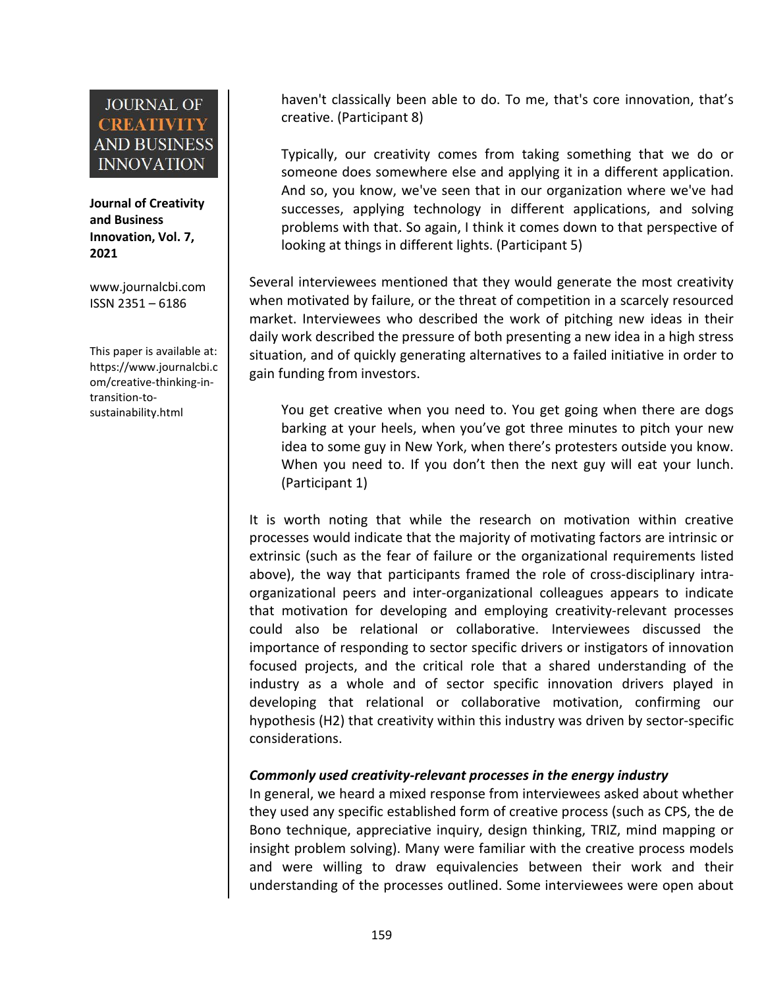**Journal of Creativity and Business Innovation, Vol. 7, 2021**

[www.journalcbi.com](http://www.journalcbi.com) ISSN 2351 – 6186

This paper is available at: [https://www.journalcbi.c](http://www.journalcbi.com/ideation-using-analogies.html) om/creative-thinking-in transition-to sustainability.html

haven't classically been able to do. To me, that's core innovation, that's creative. (Participant 8)

Typically, our creativity comes from taking something that we do or someone does somewhere else and applying it in a different application. And so, you know, we've seen that in our organization where we've had successes, applying technology in different applications, and solving problems with that. So again, I think it comes down to that perspective of looking at things in different lights. (Participant 5)

Several interviewees mentioned that they would generate the most creativity when motivated by failure, or the threat of competition in a scarcely resourced market. Interviewees who described the work of pitching new ideas in their daily work described the pressure of both presenting a new idea in a high stress situation, and of quickly generating alternatives to a failed initiative in order to gain funding from investors.

You get creative when you need to. You get going when there are dogs barking at your heels, when you've got three minutes to pitch your new idea to some guy in New York, when there's protesters outside you know. When you need to. If you don't then the next guy will eat your lunch. (Participant 1)

It is worth noting that while the research on motivation within creative processes would indicate that the majority of motivating factors are intrinsic or extrinsic (such as the fear of failure or the organizational requirements listed above), the way that participants framed the role of cross-disciplinary intra organizational peers and inter-organizational colleagues appears to indicate that motivation for developing and employing creativity-relevant processes could also be relational or collaborative. Interviewees discussed the importance of responding to sector specific drivers or instigators of innovation focused projects, and the critical role that a shared understanding of the industry as a whole and of sector specific innovation drivers played in developing that relational or collaborative motivation, confirming our hypothesis (H2) that creativity within this industry was driven by sector-specific considerations.

#### *Commonly used creativity-relevant processes in the energy industry*

In general, we heard a mixed response from interviewees asked about whether they used any specific established form of creative process (such as CPS, the de Bono technique, appreciative inquiry, design thinking, TRIZ, mind mapping or insight problem solving). Many were familiar with the creative process models and were willing to draw equivalencies between their work and their understanding of the processes outlined. Some interviewees were open about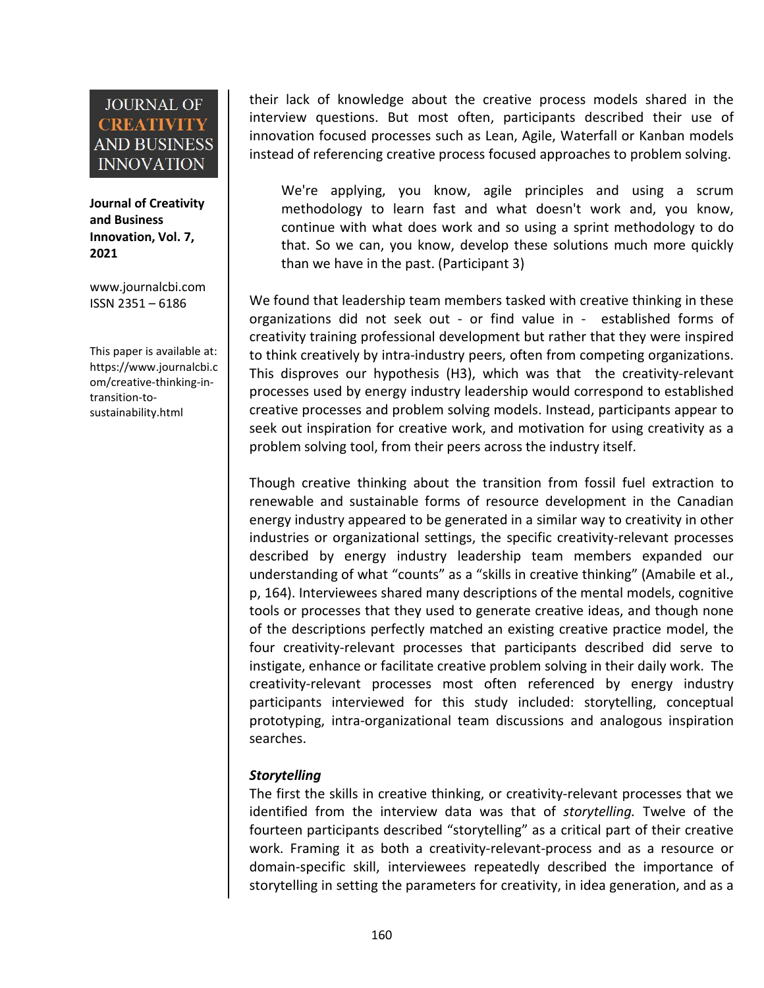**Journal of Creativity and Business Innovation, Vol. 7, 2021**

[www.journalcbi.com](http://www.journalcbi.com) ISSN 2351 – 6186

This paper is available at: [https://www.journalcbi.c](http://www.journalcbi.com/ideation-using-analogies.html) om/creative-thinking-in transition-to sustainability.html

their lack of knowledge about the creative process models shared in the interview questions. But most often, participants described their use of innovation focused processes such as Lean, Agile, Waterfall or Kanban models instead of referencing creative process focused approaches to problem solving.

We're applying, you know, agile principles and using a scrum methodology to learn fast and what doesn't work and, you know, continue with what does work and so using a sprint methodology to do that. So we can, you know, develop these solutions much more quickly than we have in the past. (Participant 3)

We found that leadership team members tasked with creative thinking in these organizations did not seek out - or find value in - established forms of creativity training professional development but rather that they were inspired to think creatively by intra-industry peers, often from competing organizations. This disproves our hypothesis (H3), which was that the creativity-relevant processes used by energy industry leadership would correspond to established creative processes and problem solving models. Instead, participants appear to seek out inspiration for creative work, and motivation for using creativity as a problem solving tool, from their peers across the industry itself.

Though creative thinking about the transition from fossil fuel extraction to renewable and sustainable forms of resource development in the Canadian energy industry appeared to be generated in a similar way to creativity in other industries or organizational settings, the specific creativity-relevant processes described by energy industry leadership team members expanded our understanding of what "counts" as a "skills in creative thinking" (Amabile et al., p, 164). Interviewees shared many descriptions of the mental models, cognitive tools or processes that they used to generate creative ideas, and though none of the descriptions perfectly matched an existing creative practice model, the four creativity-relevant processes that participants described did serve to instigate, enhance or facilitate creative problem solving in their daily work. The creativity-relevant processes most often referenced by energy industry participants interviewed for this study included: storytelling, conceptual prototyping, intra-organizational team discussions and analogous inspiration searches.

### *Storytelling*

The first the skills in creative thinking, or creativity-relevant processes that we identified from the interview data was that of *storytelling.* Twelve of the fourteen participants described "storytelling" as a critical part of their creative work. Framing it as both a creativity-relevant-process and as a resource or domain-specific skill, interviewees repeatedly described the importance of storytelling in setting the parameters for creativity, in idea generation, and as a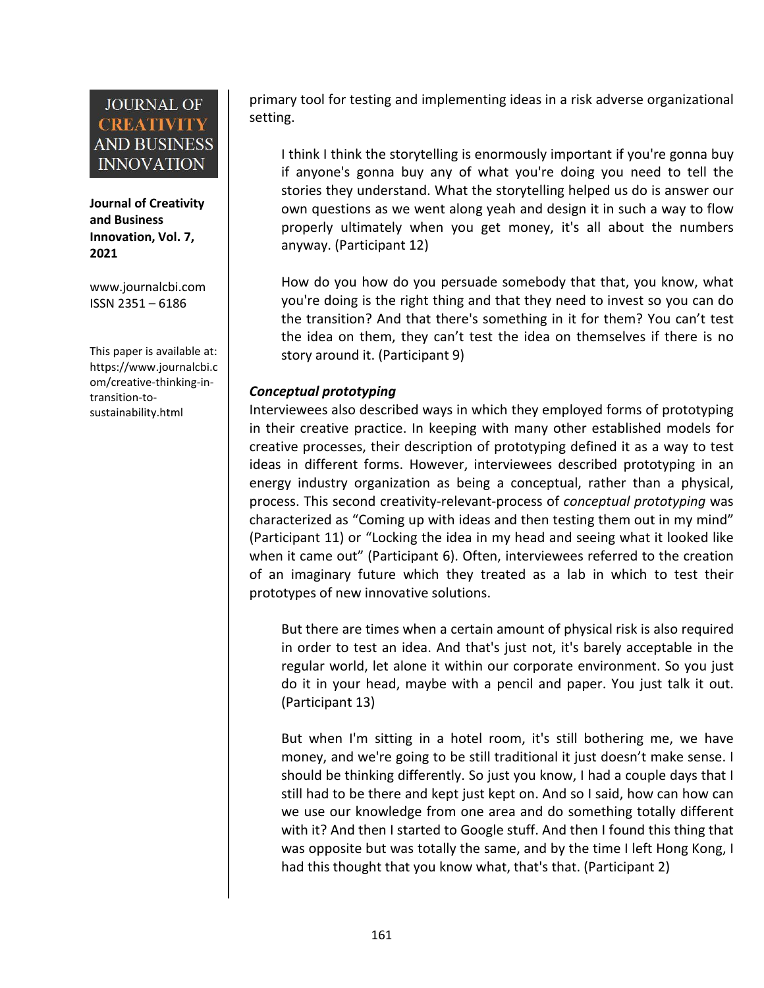**Journal of Creativity and Business Innovation, Vol. 7, 2021**

[www.journalcbi.com](http://www.journalcbi.com) ISSN 2351 – 6186

This paper is available at: [https://www.journalcbi.c](http://www.journalcbi.com/ideation-using-analogies.html) om/creative-thinking-in transition-to sustainability.html

primary tool for testing and implementing ideas in a risk adverse organizational setting.

I think I think the storytelling is enormously important if you're gonna buy if anyone's gonna buy any of what you're doing you need to tell the stories they understand. What the storytelling helped us do is answer our own questions as we went along yeah and design it in such a way to flow properly ultimately when you get money, it's all about the numbers anyway. (Participant 12)

How do you how do you persuade somebody that that, you know, what you're doing is the right thing and that they need to invest so you can do the transition? And that there's something in it for them? You can't test the idea on them, they can't test the idea on themselves if there is no story around it. (Participant 9)

#### *Conceptual prototyping*

Interviewees also described ways in which they employed forms of prototyping in their creative practice. In keeping with many other established models for creative processes, their description of prototyping defined it as a way to test ideas in different forms. However, interviewees described prototyping in an energy industry organization as being a conceptual, rather than a physical, process. This second creativity-relevant-process of *conceptual prototyping* was characterized as "Coming up with ideas and then testing them out in my mind" (Participant 11) or "Locking the idea in my head and seeing what it looked like when it came out" (Participant 6). Often, interviewees referred to the creation of an imaginary future which they treated as a lab in which to test their prototypes of new innovative solutions.

But there are times when a certain amount of physical risk is also required in order to test an idea. And that's just not, it's barely acceptable in the regular world, let alone it within our corporate environment. So you just do it in your head, maybe with a pencil and paper. You just talk it out. (Participant 13)

But when I'm sitting in ahotel room, it's still bothering me, we have money, and we're going to be still traditional it just doesn't make sense. I should be thinking differently. So just you know, I had a couple days that I still had to be there and kept just kept on. And so I said, how can how can we use our knowledge from one area and do something totally different with it? And then I started to Google stuff. And then I found this thing that was opposite but was totally the same, and by the time I left Hong Kong, I had this thought that you know what, that's that. (Participant 2)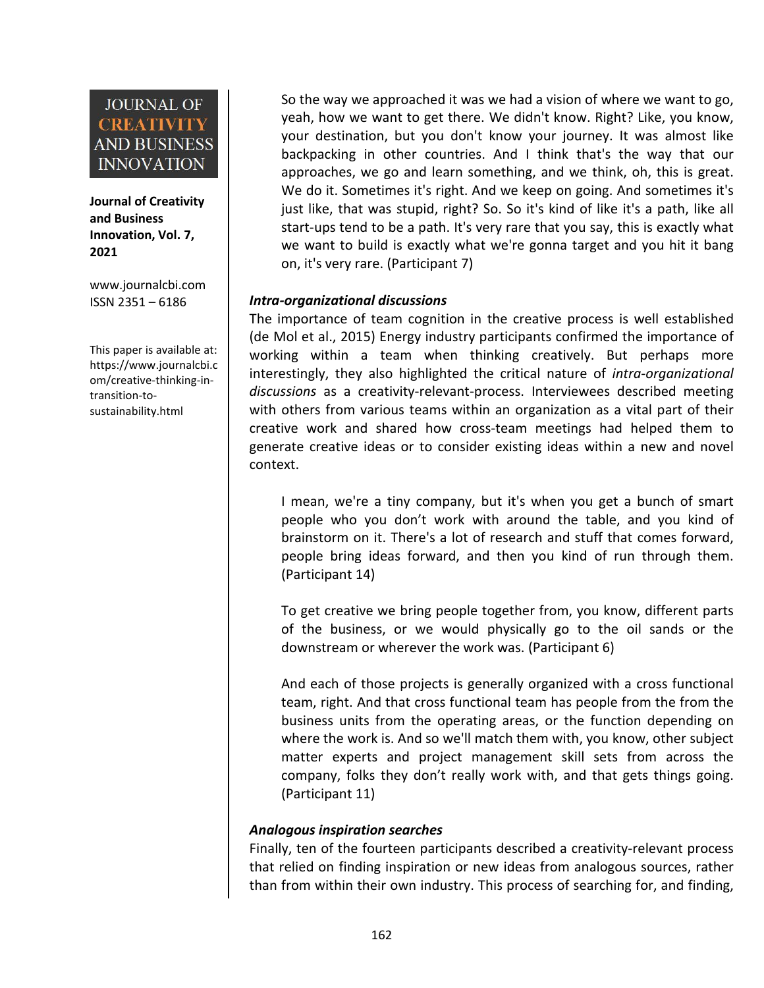**Journal of Creativity and Business Innovation, Vol. 7, 2021**

[www.journalcbi.com](http://www.journalcbi.com) ISSN 2351 – 6186

This paper is available at: [https://www.journalcbi.c](http://www.journalcbi.com/ideation-using-analogies.html) om/creative-thinking-in transition-to sustainability.html

So the way we approached it was we had a vision of where we want to go, yeah, how we want to get there. We didn't know. Right? Like, you know, your destination, but you don't know your journey. It was almost like backpacking in other countries. And I think that's the way that our approaches, we go and learn something, and we think, oh, this is great. We do it. Sometimes it's right. And we keep on going. And sometimes it's just like, that was stupid, right? So. So it's kind of like it's a path, like all start-ups tend to be a path. It's very rare that you say, this is exactly what we want to build is exactly what we're gonna target and you hit it bang on, it's very rare. (Participant 7)

#### *Intra-organizational discussions*

The importance of team cognition in the creative process is well established (de Mol et al., 2015) Energy industry participants confirmed the importance of working within a team when thinking creatively. But perhaps more interestingly, they also highlighted the critical nature of *intra-organizational discussions* as a creativity-relevant-process. Interviewees described meeting with others from various teams within an organization as a vital part of their creative work and shared how cross-team meetings had helped them to generate creative ideas or to consider existing ideas within a new and novel context.

I mean, we're a tiny company, but it's when you get a bunch of smart people who you don't work with around the table, and you kind of brainstorm on it. There's a lot of research and stuff that comes forward, people bring ideas forward, and then you kind of run through them. (Participant 14)

To get creative we bring people together from, you know, different parts of the business, or we would physically go to the oil sands or the downstream or wherever the work was. (Participant 6)

And each of those projects is generally organized with a cross functional team, right. And that cross functional team has people from the from the business units from the operating areas, or the function depending on where the work is. And so we'll match them with, you know, other subject matter experts and project management skill sets from across the company, folks they don't really work with, and that gets things going. (Participant 11)

### *Analogous inspiration searches*

Finally, ten of the fourteen participants described a creativity-relevant process that relied on finding inspiration or new ideas from analogous sources, rather than from within their own industry. This process of searching for, and finding,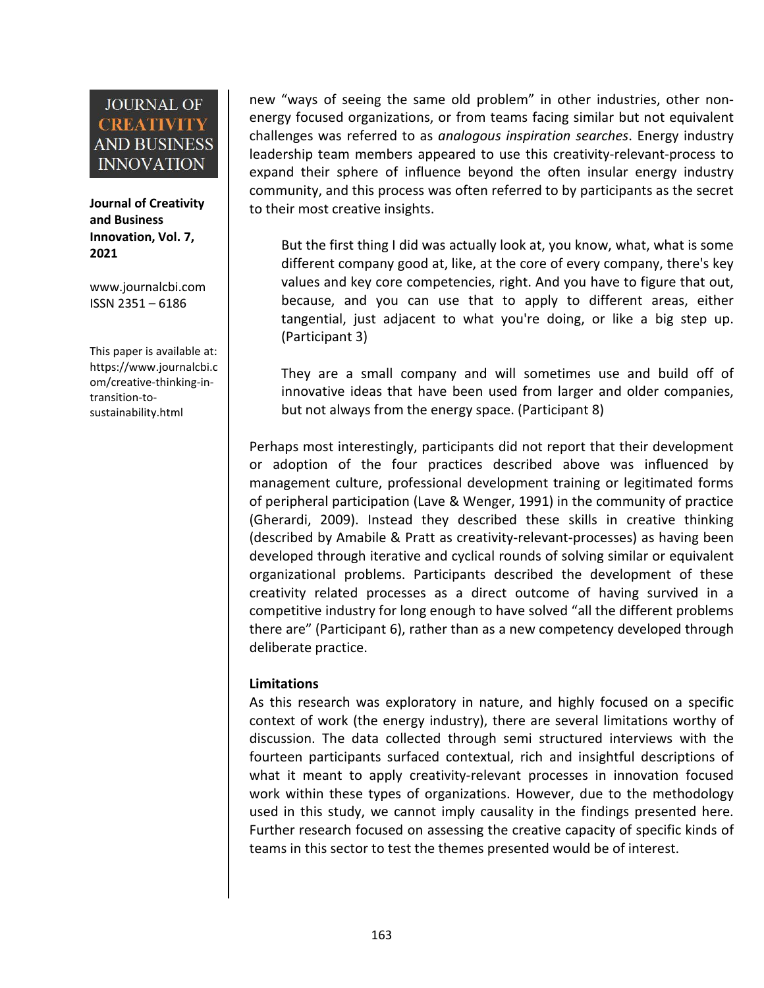**Journal of Creativity and Business Innovation, Vol. 7, 2021**

[www.journalcbi.com](http://www.journalcbi.com) ISSN 2351 – 6186

This paper is available at: [https://www.journalcbi.c](http://www.journalcbi.com/ideation-using-analogies.html) om/creative-thinking-in transition-to sustainability.html

new "ways of seeing the same old problem" in other industries, other non energy focused organizations, or from teams facing similar but not equivalent challenges was referred to as *analogous inspiration searches*. Energy industry leadership team members appeared to use this creativity-relevant-process to expand their sphere of influence beyond the often insular energy industry community, and this process was often referred to by participants as the secret to their most creative insights.

But the first thing I did was actually look at, you know, what, what is some different company good at, like, at the core of every company, there's key values and key core competencies, right. And you have to figure that out, because, and you can use that to apply to different areas, either tangential, just adjacent to what you're doing, or like a big step up. (Participant 3)

They are a small company and will sometimes use and build off of innovative ideas that have been used from larger and older companies, but not always from the energy space. (Participant 8)

Perhaps most interestingly, participants did not report that their development or adoption of the four practices described above was influenced by management culture, professional development training or legitimated forms of peripheral participation (Lave & Wenger,1991) in the community of practice (Gherardi, 2009). Instead they described these skills in creative thinking (described by Amabile & Pratt as creativity-relevant-processes) as having been developed through iterative and cyclical rounds of solving similar or equivalent organizational problems. Participants described the development of these creativity related processes as a direct outcome of having survived in a competitive industry for long enough to have solved "all the different problems there are" (Participant 6), rather than as a new competency developed through deliberate practice.

#### **Limitations**

As this research was exploratory in nature, and highly focused on a specific context of work (the energy industry), there are several limitations worthy of discussion. The data collected through semi structured interviews with the fourteen participants surfaced contextual, rich and insightful descriptions of what it meant to apply creativity-relevant processes in innovation focused work within these types of organizations. However, due to the methodology used in this study, we cannot imply causality in the findings presented here. Further research focused on assessing the creative capacity of specific kinds of teams in this sector to test the themes presented would be of interest.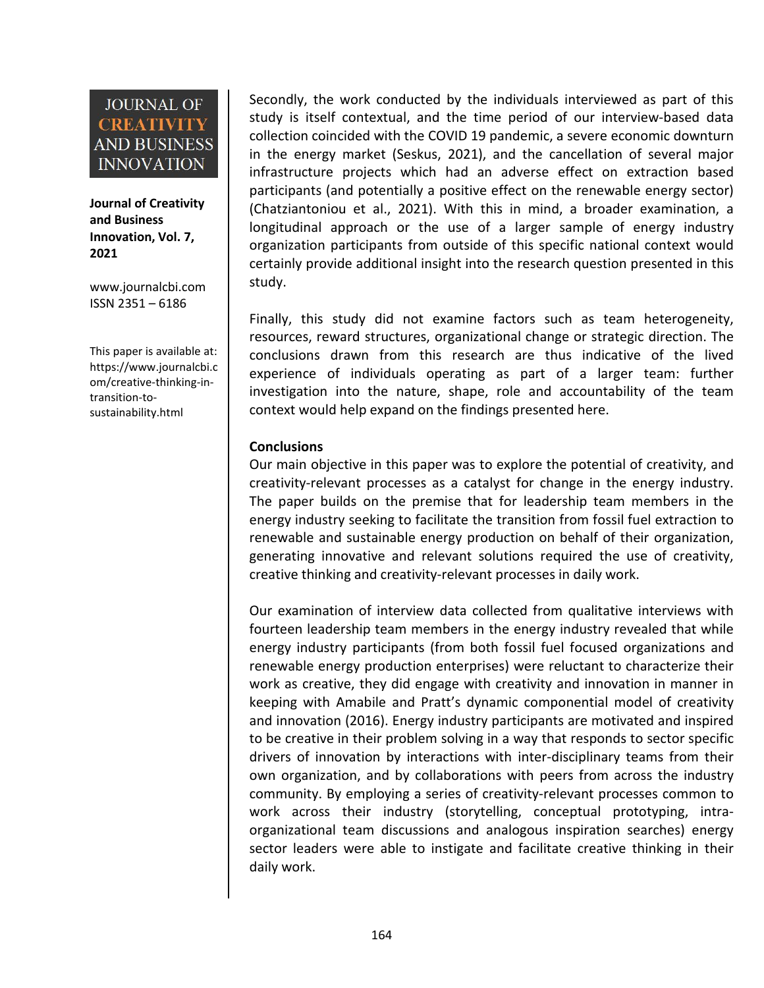**Journal of Creativity and Business Innovation, Vol. 7, 2021**

[www.journalcbi.com](http://www.journalcbi.com) ISSN 2351 – 6186

This paper is available at: [https://www.journalcbi.c](http://www.journalcbi.com/ideation-using-analogies.html) om/creative-thinking-in transition-to sustainability.html

Secondly, the work conducted by the individuals interviewed as part of this study is itself contextual, and the time period of our interview-based data collection coincided with the COVID 19 pandemic, a severe economic downturn in the energy market (Seskus, 2021), and the cancellation of several major infrastructure projects which had an adverse effect on extraction based participants (and potentially a positive effect on the renewable energy sector) (Chatziantoniou et al., 2021). With this in mind, a broader examination, a longitudinal approach or the use of a larger sample of energy industry organization participants from outside of this specific national context would certainly provide additional insight into the research question presented in this study.

Finally, this study did not examine factors such as team heterogeneity, resources, reward structures, organizational change or strategic direction. The conclusions drawn from this research are thus indicative of the lived experience of individuals operating as part of a larger team: further investigation into the nature, shape, role and accountability of the team context would help expand on the findings presented here.

#### **Conclusions**

Our main objective in this paper was to explore the potential of creativity, and creativity-relevant processes as a catalyst for change in the energy industry. The paper builds on the premise that for leadership team members in the energy industry seeking to facilitate the transition from fossil fuel extraction to renewable and sustainable energy production on behalf of their organization, generating innovative and relevant solutions required the use of creativity, creative thinking and creativity-relevant processes in daily work.

Our examination of interview data collected from qualitative interviews with fourteen leadership team members in the energy industry revealed that while energy industry participants (from both fossil fuel focused organizations and renewable energy production enterprises) were reluctant to characterize their work as creative, they did engage with creativity and innovation in manner in keeping with Amabile and Pratt's dynamic componential model of creativity and innovation (2016). Energy industry participants are motivated and inspired to be creative in their problem solving in a way that responds to sector specific drivers of innovation by interactions with inter-disciplinary teams from their own organization, and by collaborations with peers from across the industry community. By employing a series of creativity-relevant processes common to work across their industry (storytelling, conceptual prototyping, intra organizational team discussions and analogous inspiration searches) energy sector leaders were able to instigate and facilitate creative thinking in their daily work.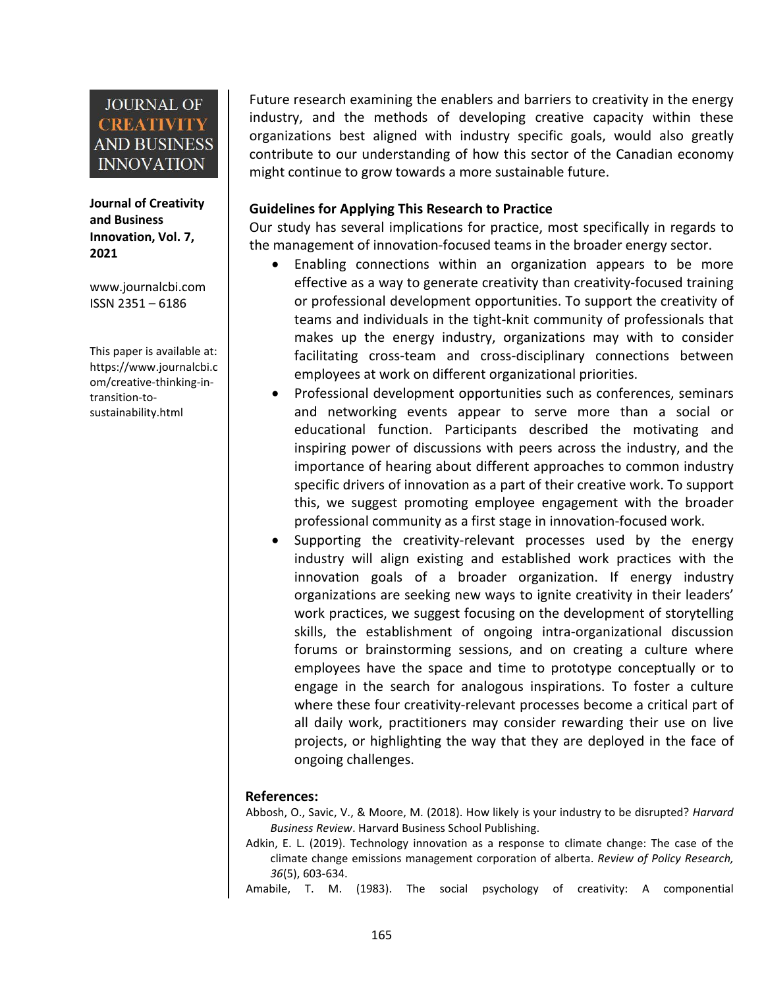**Journal of Creativity and Business Innovation, Vol. 7, 2021**

[www.journalcbi.com](http://www.journalcbi.com) ISSN 2351 – 6186

This paper is available at: [https://www.journalcbi.c](http://www.journalcbi.com/ideation-using-analogies.html) om/creative-thinking-in transition-to sustainability.html

Future research examining the enablers and barriers to creativity in the energy industry, and the methods of developing creative capacity within these organizations best aligned with industry specific goals, would also greatly contribute to our understanding of how this sector of the Canadian economy might continue to grow towards a more sustainable future.

#### **Guidelines for Applying This Research to Practice**

Our study has several implications for practice, most specifically in regards to the management of innovation-focused teams in the broader energy sector.

- Enabling connections within an organization appears to be more effective as a way to generate creativity than creativity-focused training or professional development opportunities. To support the creativity of teams and individuals in the tight-knit community of professionals that makes up the energy industry, organizations may with to consider facilitating cross-team and cross-disciplinary connections between employees at work on different organizational priorities.
- Professional development opportunities such as conferences, seminars and networking events appear to serve more than a social or educational function. Participants described the motivating and inspiring power of discussions with peers across the industry, and the importance of hearing about different approaches to common industry specific drivers of innovation as a part of their creative work. To support this, we suggest promoting employee engagement with the broader professional community as a first stage in innovation-focused work.
- Supporting the creativity-relevant processes used by the energy industry will align existing and established work practices with the innovation goals of a broader organization. If energy industry organizations are seeking new ways to ignite creativity in their leaders' work practices, we suggest focusing on the development of storytelling skills, the establishment of ongoing intra-organizational discussion forums or brainstorming sessions, and on creating a culture where employees have the space and time to prototype conceptually or to engage in the search for analogous inspirations. To foster a culture where these four creativity-relevant processes become a critical part of all daily work, practitioners may consider rewarding their use on live projects, or highlighting the way that they are deployed in the face of ongoing challenges.

#### **References:**

- Abbosh, O., Savic, V., & Moore, M. (2018). How likely is your industry to be disrupted? *Harvard Business Review*. Harvard Business School Publishing.
- Adkin, E. L. (2019). Technology innovation as a response to climate change: The case of the climate change emissions management corporation of alberta. *Review of Policy Research, 36*(5), 603-634.
- Amabile, T. M. (1983). The social psychology of creativity: A componential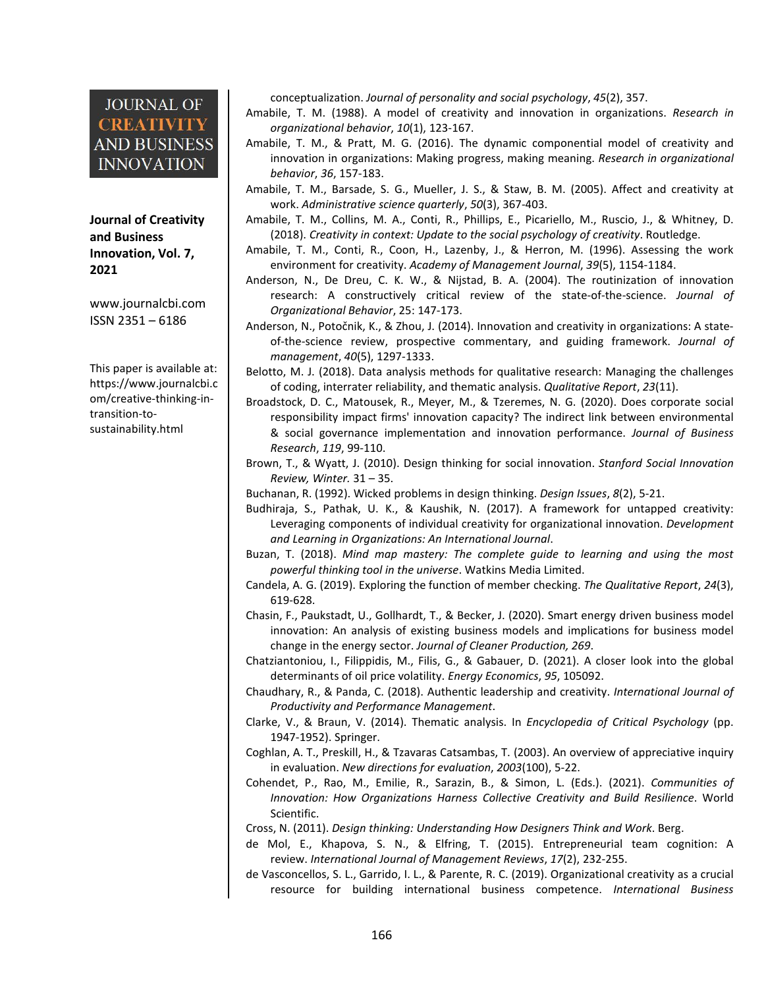#### **Journal of Creativity and Business Innovation, Vol. 7, 2021**

[www.journalcbi.com](http://www.journalcbi.com) ISSN 2351 – 6186

This paper is available at: [https://www.journalcbi.c](http://www.journalcbi.com/ideation-using-analogies.html) om/creative-thinking-in transition-to sustainability.html

conceptualization. *Journal of personality and social psychology*, *45*(2), 357.

- Amabile, T. M. (1988). A model of creativity and innovation in organizations. *Research in organizational behavior*, *10*(1), 123-167.
- Amabile, T. M., & Pratt, M. G. (2016). The dynamic componential model of creativity and innovation in organizations: Making progress, making meaning.*Research in organizational behavior*, *36*, 157-183.
- Amabile, T. M., Barsade, S. G., Mueller, J. S., & Staw, B. M. (2005). Affect and creativity at work. *Administrative science quarterly*, *50*(3), 367-403.
- Amabile, T. M., Collins, M. A., Conti, R., Phillips, E., Picariello, M., Ruscio, J., & Whitney, D. (2018). *Creativity in context: Update to the social psychology of creativity*. Routledge.
- Amabile, T. M., Conti, R., Coon, H., Lazenby, J., & Herron, M. (1996). Assessing the work environment for creativity. *Academy of Management Journal*, *39*(5), 1154-1184.
- Anderson, N., De Dreu, C. K. W., & Nijstad, B. A. (2004). The routinization of innovation research: A constructively critical review of the state-of-the-science. *Journal of Organizational Behavior*, 25: 147-173.
- Anderson, N., Potočnik, K., & Zhou, J. (2014). Innovation and creativity in organizations: A state of-the-science review, prospective commentary, and guiding framework. *Journal of management*, *40*(5), 1297-1333.
- Belotto, M. J. (2018). Data analysis methods for qualitative research: Managing the challenges of coding, interrater reliability, and thematic analysis. *Qualitative Report*, *23*(11).
- Broadstock, D. C., Matousek, R., Meyer, M., & Tzeremes, N. G. (2020). Does corporate social responsibility impact firms' innovation capacity? The indirect link between environmental & social governance implementation and innovation performance. *Journal of Business Research*, *119*, 99-110.
- Brown, T., & Wyatt, J. (2010). Design thinking for social innovation. *Stanford Social Innovation Review, Winter.* 31 – 35.
- Buchanan, R. (1992). Wicked problems in design thinking. *Design Issues*, *8*(2),5-21.
- Budhiraja, S., Pathak, U. K., & Kaushik, N. (2017). A framework for untapped creativity: Leveraging components of individual creativity for organizational innovation. *Development and Learning in Organizations: An International Journal*.
- Buzan, T. (2018). *Mind map mastery: The complete guide to learning and using the most powerful thinking tool in the universe*. Watkins Media Limited.
- Candela, A. G. (2019). Exploring the function of member checking. *The Qualitative Report*, *24*(3), 619-628.
- Chasin, F., Paukstadt, U., Gollhardt, T., & Becker, J. (2020). Smart energy driven business model innovation: An analysis of existing business models and implications for business model change in the energy sector. *Journal of Cleaner Production, 269*.
- Chatziantoniou, I., Filippidis, M., Filis, G., & Gabauer, D. (2021). A closer look into the global determinants of oil price volatility. *Energy Economics*, *95*, 105092.
- Chaudhary, R., & Panda, C. (2018). Authentic leadership and creativity. *International Journal of Productivity and Performance Management*.
- Clarke, V., & Braun, V. (2014). Thematic analysis. In *Encyclopedia of Critical Psychology* (pp. 1947-1952). Springer.
- Coghlan, A. T., Preskill, H., & Tzavaras Catsambas, T. (2003). An overview of appreciative inquiry in evaluation. *New directions for evaluation*, *2003*(100), 5-22.
- Cohendet, P., Rao, M., Emilie, R., Sarazin, B., & Simon, L. (Eds.). (2021). *Communities of Innovation: How Organizations Harness Collective Creativity and Build Resilience*. World Scientific.
- Cross, N. (2011). *Design thinking: Understanding How Designers Think and Work. Berg.<br>de Mol, E., Khapova, S. N., & Elfring, T. (2015). Entrepreneurial team cognition: A*
- review. *International Journal of Management Reviews*, *17*(2), 232-255.
- de Vasconcellos, S. L., Garrido, I. L., & Parente, R. C. (2019). Organizational creativity as a crucial resource for building international business competence. *International Business*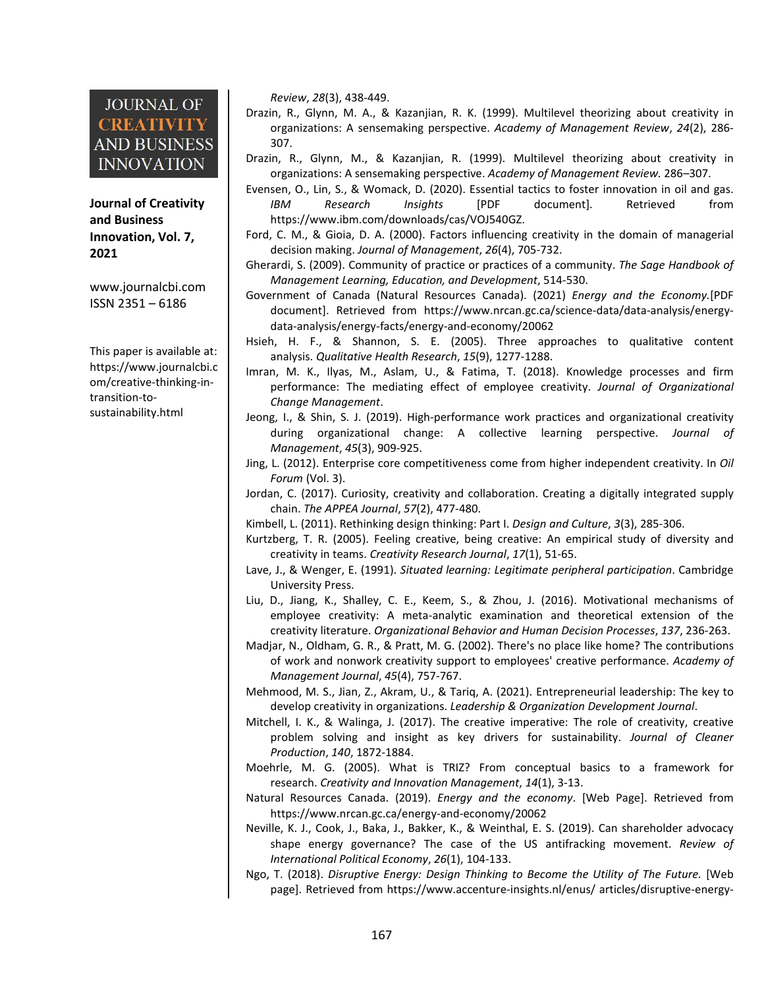**and Business Innovation, Vol. 7, 2021**

[www.journalcbi.com](http://www.journalcbi.com) ISSN 2351 – 6186

This paper is available at: [https://www.journalcbi.c](http://www.journalcbi.com/ideation-using-analogies.html) om/creative-thinking-in transition-to sustainability.html

*Review*, *28*(3), 438-449.

- Drazin, R., Glynn, M. A., & Kazanjian, R. K. (1999). Multilevel theorizing about creativity in organizations: A sensemaking perspective. *Academy of Management Review*, *24*(2), 286- 307.
- Drazin, R., Glynn, M., & Kazanjian, R. (1999). Multilevel theorizing about creativity in organizations: A sensemaking perspective. *Academy of Management Review.* 286–307.
- **Journal of Creativity** Evensen, O., Lin, S., & Womack, D. (2020). Essential tactics to foster innovation in oil and gas. *IBM Research Insights* [PDF document]. Retrieved from https://www.ibm.com/downloads/cas/VOJ540GZ.
	- Ford, C. M., & Gioia, D. A. (2000). Factors influencing creativity in the domain of managerial decision making. *Journal of Management*, *26*(4), 705-732.
	- Gherardi, S. (2009). Community of practice or practices of a community. *The Sage Handbook of Management Learning, Education, and Development*, 514-530.
	- Government of Canada (Natural Resources Canada). (2021) *Energy and the Economy.*[PDF document]. Retrieved from https://www.nrcan.gc.ca/science-data/data-analysis/energy data-analysis/energy-facts/energy-and-economy/20062
	- Hsieh, H. F., & Shannon, S. E. (2005). Three approaches to qualitative content analysis. *Qualitative Health Research*, *15*(9), 1277-1288.
	- Imran, M. K., Ilyas, M., Aslam, U., & Fatima, T. (2018). Knowledge processes and firm performance: The mediating effect of employee creativity.*Journal of Organizational Change Management*.
	- Jeong, I., & Shin, S. J. (2019). High-performance work practices and organizational creativity during organizational change: A collective learning perspective. *Journal of Management*, *45*(3), 909-925.
	- Jing, L. (2012). Enterprise core competitiveness come from higher independent creativity. In *Oil Forum* (Vol. 3).
	- Jordan, C. (2017). Curiosity, creativity and collaboration. Creating a digitally integrated supply chain. *The APPEA Journal*, *57*(2), 477-480.
	- Kimbell, L. (2011). Rethinking design thinking: Part I. *Design and Culture*, *3*(3), 285-306.
	- Kurtzberg, T. R. (2005). Feeling creative, being creative: An empirical study of diversity and creativity in teams. *Creativity Research Journal*, *17*(1), 51-65.
	- Lave, J., & Wenger, E. (1991). *Situated learning: Legitimate peripheral participation*. Cambridge University Press.
	- Liu, D., Jiang, K., Shalley, C. E., Keem, S., & Zhou, J. (2016). Motivational mechanisms of employee creativity: A meta-analytic examination and theoretical extension of the creativity literature. *Organizational Behavior and Human Decision Processes*, *137*, 236-263.
	- Madjar, N., Oldham, G. R., & Pratt, M. G. (2002). There's no place like home? The contributions of work and nonwork creativity support to employees' creative performance. *Academy of Management Journal*, *45*(4), 757-767.
	- Mehmood, M. S., Jian, Z., Akram, U., & Tariq, A. (2021). Entrepreneurial leadership: The key to develop creativity in organizations. *Leadership & Organization Development Journal*.
	- Mitchell, I. K., & Walinga, J. (2017). The creative imperative: The role of creativity, creative problem solving and insight as key drivers for sustainability. *Journal of Cleaner Production*, *140*, 1872-1884.
	- Moehrle, M. G. (2005). What is TRIZ? From conceptual basics to a framework for research. *Creativity and Innovation Management*, *14*(1), 3-13.
	- Natural Resources Canada. (2019). *Energy and the economy*. [Web Page]. Retrieved from https://www.nrcan.gc.ca/energy-and-economy/20062
	- Neville, K. J., Cook, J., Baka, J., Bakker, K., & Weinthal, E. S. (2019). Can shareholder advocacy shape energy governance? The case of the US antifracking movement. *Review of International Political Economy*, *26*(1), 104-133.
	- Ngo, T. (2018). *Disruptive Energy: Design Thinking to Become the Utility of The Future.* [Web page]. Retrieved from https://www.accenture-insights.nl/enus/ articles/disruptive-energy-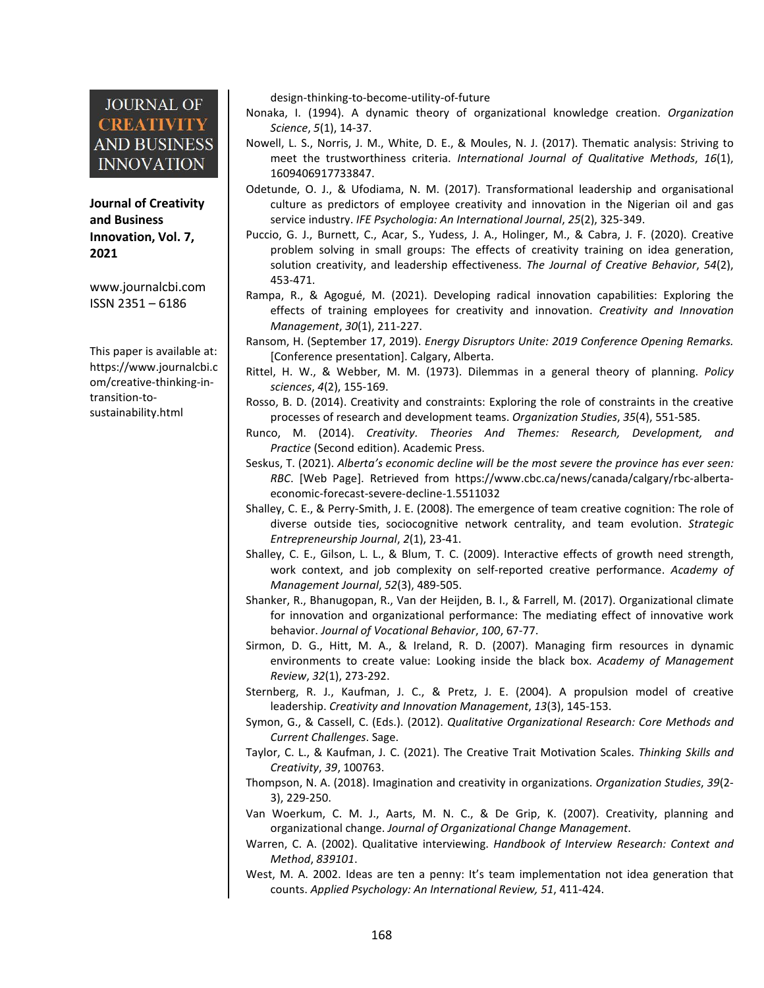**Journal of Creativity and Business Innovation, Vol. 7, 2021**

[www.journalcbi.com](http://www.journalcbi.com) ISSN 2351 – 6186

This paper is available at: [https://www.journalcbi.c](http://www.journalcbi.com/ideation-using-analogies.html) om/creative-thinking-in transition-to sustainability.html

design-thinking-to-become-utility-of-future

- Nonaka, I. (1994). A dynamic theory of organizational knowledge creation. *Organization Science*, *5*(1), 14-37.
- Nowell, L. S., Norris, J. M., White, D. E., & Moules, N. J. (2017). Thematic analysis: Striving to meet the trustworthiness criteria. *International Journal of Qualitative Methods*, *16*(1), 1609406917733847.
- Odetunde, O. J., & Ufodiama, N. M. (2017). Transformational leadership and organisational culture as predictors of employee creativity and innovation in the Nigerian oil and gas service industry. *IFE Psychologia: An International Journal*, *25*(2), 325-349.
- Puccio, G. J., Burnett, C., Acar, S., Yudess, J. A., Holinger, M., & Cabra, J. F. (2020). Creative problem solving in small groups: The effects of creativity training on idea generation, solution creativity, and leadership effectiveness. *The Journal of Creative Behavior*, *54*(2), 453-471.
- Rampa, R., & Agogué, M. (2021). Developing radical innovation capabilities: Exploring the effects of training employees for creativity and innovation.*Creativity and Innovation Management*, *30*(1), 211-227.
- Ransom, H. (September 17, 2019). *Energy Disruptors Unite: 2019 Conference Opening Remarks.* [Conference presentation]. Calgary, Alberta.
- Rittel, H. W., & Webber, M. M. (1973). Dilemmas in a general theory of planning. *Policy sciences*, *4*(2), 155-169.
- Rosso, B. D. (2014). Creativity and constraints: Exploring the role of constraints in the creative processes of research and development teams. *Organization Studies*, *35*(4), 551-585.
- Runco, M. (2014). *Creativity. Theories And Themes: Research, Development, and Practice* (Second edition). Academic Press.
- Seskus, T. (2021). *Alberta's economic decline will be the most severe the province hasever seen: RBC*. [Web Page]. Retrieved from https://www.cbc.ca/news/canada/calgary/rbc-alberta economic-forecast-severe-decline-1.5511032
- Shalley, C. E., & Perry-Smith, J. E. (2008). The emergence of team creative cognition: The role of diverse outside ties, sociocognitive network centrality, and team evolution. *Strategic Entrepreneurship Journal*, *2*(1), 23-41.
- Shalley, C. E., Gilson, L. L., & Blum, T. C. (2009). Interactive effects of growth need strength, work context, and job complexity on self-reported creative performance. *Academy of Management Journal*, *52*(3), 489-505.
- Shanker, R., Bhanugopan, R., Van der Heijden, B. I., & Farrell, M. (2017). Organizational climate for innovation and organizational performance: The mediating effect of innovative work behavior. *Journal of Vocational Behavior*, *100*, 67-77.
- Sirmon, D. G., Hitt, M. A., & Ireland, R. D. (2007). Managing firm resources in dynamic environments to create value: Looking inside the black box. *Academy of Management Review*, *32*(1), 273-292.
- Sternberg, R. J., Kaufman, J. C., & Pretz, J. E. (2004). A propulsion model of creative leadership. *Creativity and Innovation Management*, *13*(3), 145-153.
- Symon, G., & Cassell, C. (Eds.). (2012). *Qualitative Organizational Research: Core Methods and Current Challenges*. Sage.
- Taylor, C. L., & Kaufman, J. C. (2021). The Creative Trait Motivation Scales. *Thinking Skills and Creativity*, *39*, 100763.
- Thompson, N. A. (2018). Imagination and creativity in organizations. *Organization Studies*, *39*(2- 3), 229-250.
- Van Woerkum, C. M. J., Aarts, M. N. C., & De Grip, K. (2007). Creativity, planning and organizational change. *Journal of Organizational Change Management*.
- Warren, C. A. (2002). Qualitative interviewing. *Handbook of Interview Research: Context and Method*, *839101*.
- West, M. A. 2002. Ideas are ten a penny: It's team implementation not idea generation that counts. *Applied Psychology: An International Review, 51*, 411-424.